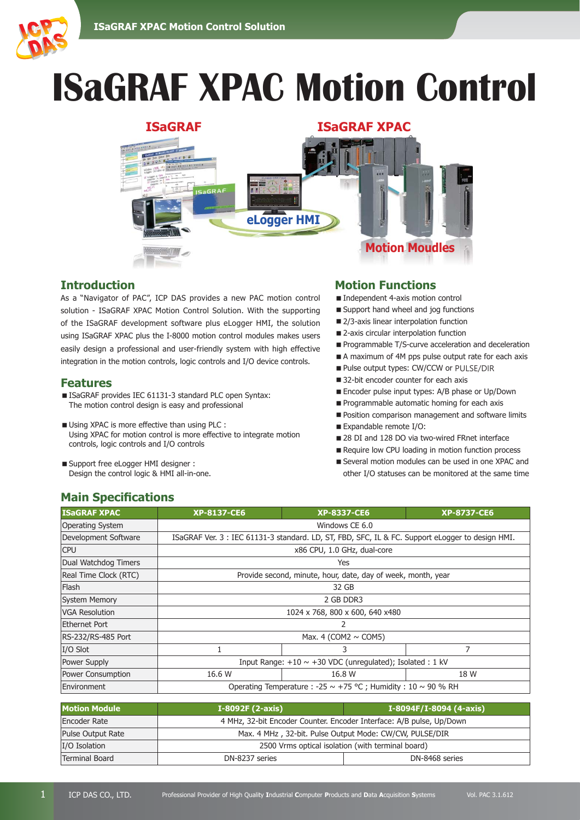

# **ISaGRAF XPAC Motion Control**



## **Introduction**

As a "Navigator of PAC", ICP DAS provides a new PAC motion control solution - ISaGRAF XPAC Motion Control Solution. With the supporting of the ISaGRAF development software plus eLogger HMI, the solution using ISaGRAF XPAC plus the I-8000 motion control modules makes users easily design a professional and user-friendly system with high effective integration in the motion controls, logic controls and I/O device controls.

#### **Features**

- ISaGRAF provides IEC 61131-3 standard PLC open Syntax: The motion control design is easy and professional
- $\blacksquare$  Using XPAC is more effective than using PLC : Using XPAC for motion control is more effective to integrate motion controls, logic controls and I/O controls
- Support free eLogger HMI designer : Design the control logic & HMI all-in-one.

#### **Motion Functions**

- Independent 4-axis motion control
- Support hand wheel and jog functions
- 2/3-axis linear interpolation function
- 2-axis circular interpolation function
- **Programmable T/S-curve acceleration and deceleration**
- A maximum of 4M pps pulse output rate for each axis
- Pulse output types: CW/CCW or PULSE/DIR
- 32-bit encoder counter for each axis
- Encoder pulse input types: A/B phase or Up/Down
- Programmable automatic homing for each axis
- Position comparison management and software limits
- Expandable remote I/O:
- 28 DI and 128 DO via two-wired FRnet interface
- Require low CPU loading in motion function process
- Several motion modules can be used in one XPAC and other I/O statuses can be monitored at the same time

## **Main Specifications**

| <b>ISaGRAF XPAC</b>     | <b>XP-8137-CE6</b>                                                                               | <b>XP-8337-CE6</b> | <b>XP-8737-CE6</b> |
|-------------------------|--------------------------------------------------------------------------------------------------|--------------------|--------------------|
| <b>Operating System</b> | Windows CE 6.0                                                                                   |                    |                    |
| Development Software    | ISaGRAF Ver. 3 : IEC 61131-3 standard. LD, ST, FBD, SFC, IL & FC. Support eLogger to design HMI. |                    |                    |
| <b>CPU</b>              | x86 CPU, 1.0 GHz, dual-core                                                                      |                    |                    |
| Dual Watchdog Timers    | Yes                                                                                              |                    |                    |
| Real Time Clock (RTC)   | Provide second, minute, hour, date, day of week, month, year                                     |                    |                    |
| Flash                   | 32 GB                                                                                            |                    |                    |
| <b>System Memory</b>    | 2 GB DDR3                                                                                        |                    |                    |
| <b>VGA Resolution</b>   | 1024 x 768, 800 x 600, 640 x480                                                                  |                    |                    |
| Ethernet Port           | 2                                                                                                |                    |                    |
| RS-232/RS-485 Port      | Max. 4 (COM2 $\sim$ COM5)                                                                        |                    |                    |
| $I/O$ Slot              |                                                                                                  | 3                  | 7                  |
| Power Supply            | Input Range: $+10 \sim +30$ VDC (unregulated); Isolated: 1 kV                                    |                    |                    |
| Power Consumption       | 16.6 W                                                                                           | 16.8 W             | 18 W               |
| Environment             | Operating Temperature : -25 $\sim$ +75 °C ; Humidity : 10 $\sim$ 90 % RH                         |                    |                    |

| <b>Motion Module</b> | I-8092F (2-axis)                                                     | I-8094F/I-8094 (4-axis) |  |
|----------------------|----------------------------------------------------------------------|-------------------------|--|
| Encoder Rate         | 4 MHz, 32-bit Encoder Counter. Encoder Interface: A/B pulse, Up/Down |                         |  |
| Pulse Output Rate    | Max. 4 MHz, 32-bit. Pulse Output Mode: CW/CW, PULSE/DIR              |                         |  |
| I/O Isolation        | 2500 Vrms optical isolation (with terminal board)                    |                         |  |
| Terminal Board       | DN-8237 series                                                       | DN-8468 series          |  |